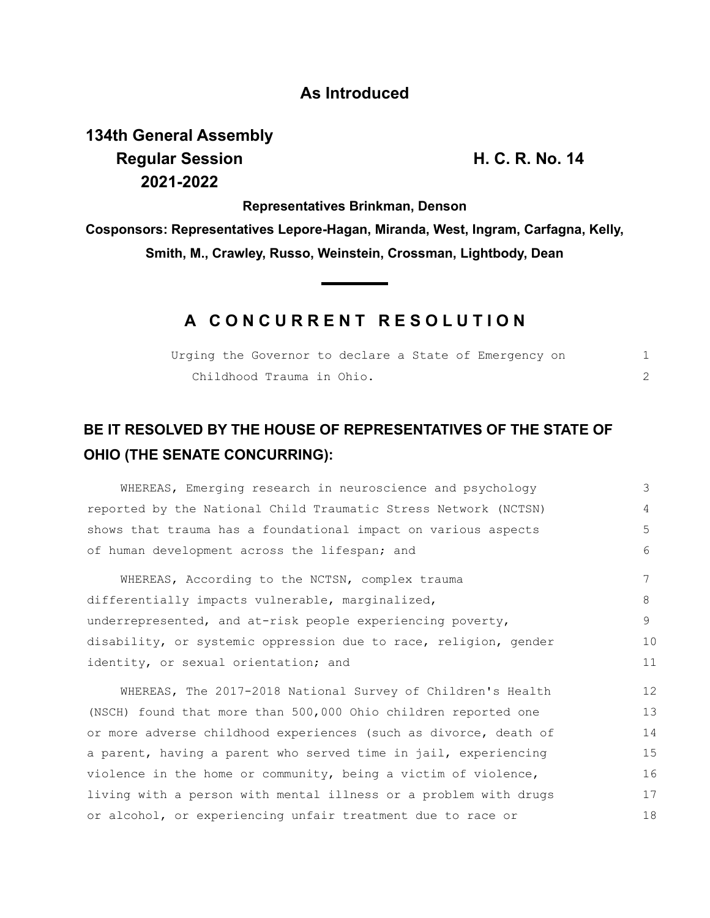### **As Introduced**

# **134th General Assembly Regular Session H. C. R. No. 14 2021-2022**

**Representatives Brinkman, Denson**

**Cosponsors: Representatives Lepore-Hagan, Miranda, West, Ingram, Carfagna, Kelly, Smith, M., Crawley, Russo, Weinstein, Crossman, Lightbody, Dean**

## **A C O N C U R R E N T R E S O L U T I O N**

|  |                           |  |  | Urging the Governor to declare a State of Emergency on |  |  |
|--|---------------------------|--|--|--------------------------------------------------------|--|--|
|  | Childhood Trauma in Ohio. |  |  |                                                        |  |  |

# **BE IT RESOLVED BY THE HOUSE OF REPRESENTATIVES OF THE STATE OF OHIO (THE SENATE CONCURRING):**

WHEREAS, Emerging research in neuroscience and psychology reported by the National Child Traumatic Stress Network (NCTSN) shows that trauma has a foundational impact on various aspects of human development across the lifespan; and WHEREAS, According to the NCTSN, complex trauma differentially impacts vulnerable, marginalized, underrepresented, and at-risk people experiencing poverty, disability, or systemic oppression due to race, religion, gender identity, or sexual orientation; and WHEREAS, The 2017-2018 National Survey of Children's Health 3 4 5 6 7 8 9 10 11 12

(NSCH) found that more than 500,000 Ohio children reported one or more adverse childhood experiences (such as divorce, death of a parent, having a parent who served time in jail, experiencing violence in the home or community, being a victim of violence, living with a person with mental illness or a problem with drugs or alcohol, or experiencing unfair treatment due to race or 13 14 15 16 17 18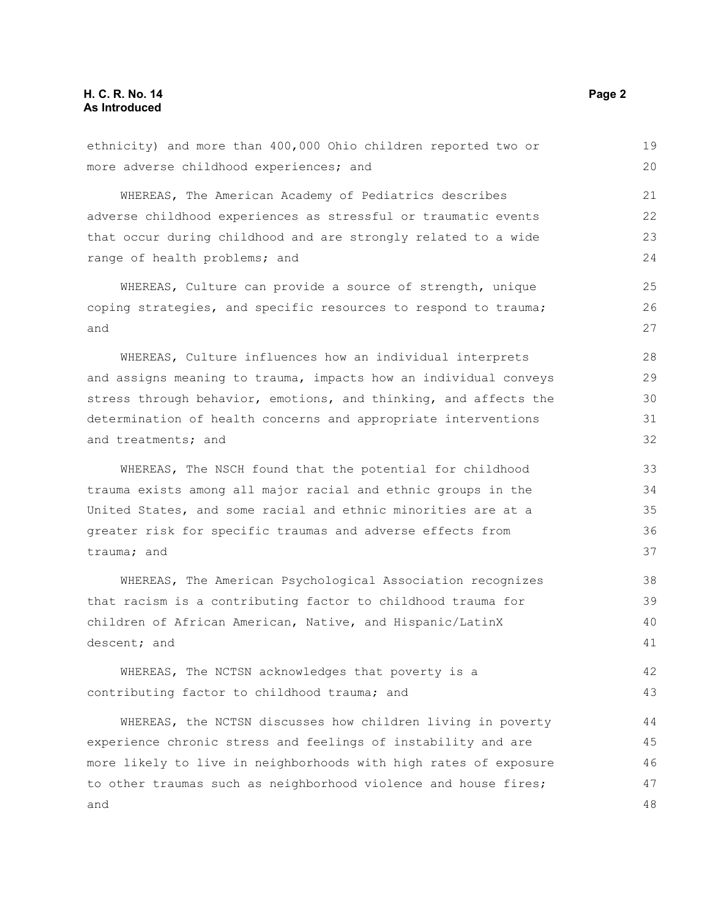#### **H. C. R. No. 14 Page 2 As Introduced**

| ethnicity) and more than 400,000 Ohio children reported two or   | 19 |  |  |  |  |
|------------------------------------------------------------------|----|--|--|--|--|
| more adverse childhood experiences; and                          | 20 |  |  |  |  |
| WHEREAS, The American Academy of Pediatrics describes            | 21 |  |  |  |  |
| adverse childhood experiences as stressful or traumatic events   | 22 |  |  |  |  |
| that occur during childhood and are strongly related to a wide   |    |  |  |  |  |
| range of health problems; and                                    | 24 |  |  |  |  |
| WHEREAS, Culture can provide a source of strength, unique        | 25 |  |  |  |  |
| coping strategies, and specific resources to respond to trauma;  | 26 |  |  |  |  |
| and                                                              | 27 |  |  |  |  |
| WHEREAS, Culture influences how an individual interprets         | 28 |  |  |  |  |
| and assigns meaning to trauma, impacts how an individual conveys | 29 |  |  |  |  |
| stress through behavior, emotions, and thinking, and affects the | 30 |  |  |  |  |
| determination of health concerns and appropriate interventions   | 31 |  |  |  |  |
| and treatments; and                                              | 32 |  |  |  |  |
| WHEREAS, The NSCH found that the potential for childhood         | 33 |  |  |  |  |
| trauma exists among all major racial and ethnic groups in the    | 34 |  |  |  |  |
| United States, and some racial and ethnic minorities are at a    | 35 |  |  |  |  |
| greater risk for specific traumas and adverse effects from       | 36 |  |  |  |  |
| trauma; and                                                      | 37 |  |  |  |  |
| WHEREAS, The American Psychological Association recognizes       | 38 |  |  |  |  |
| that racism is a contributing factor to childhood trauma for     | 39 |  |  |  |  |
| children of African American, Native, and Hispanic/LatinX        |    |  |  |  |  |
| descent; and                                                     | 41 |  |  |  |  |
| WHEREAS, The NCTSN acknowledges that poverty is a                | 42 |  |  |  |  |
| contributing factor to childhood trauma; and                     | 43 |  |  |  |  |
| WHEREAS, the NCTSN discusses how children living in poverty      | 44 |  |  |  |  |
| experience chronic stress and feelings of instability and are    | 45 |  |  |  |  |
| more likely to live in neighborhoods with high rates of exposure |    |  |  |  |  |
| to other traumas such as neighborhood violence and house fires;  | 47 |  |  |  |  |
| and                                                              | 48 |  |  |  |  |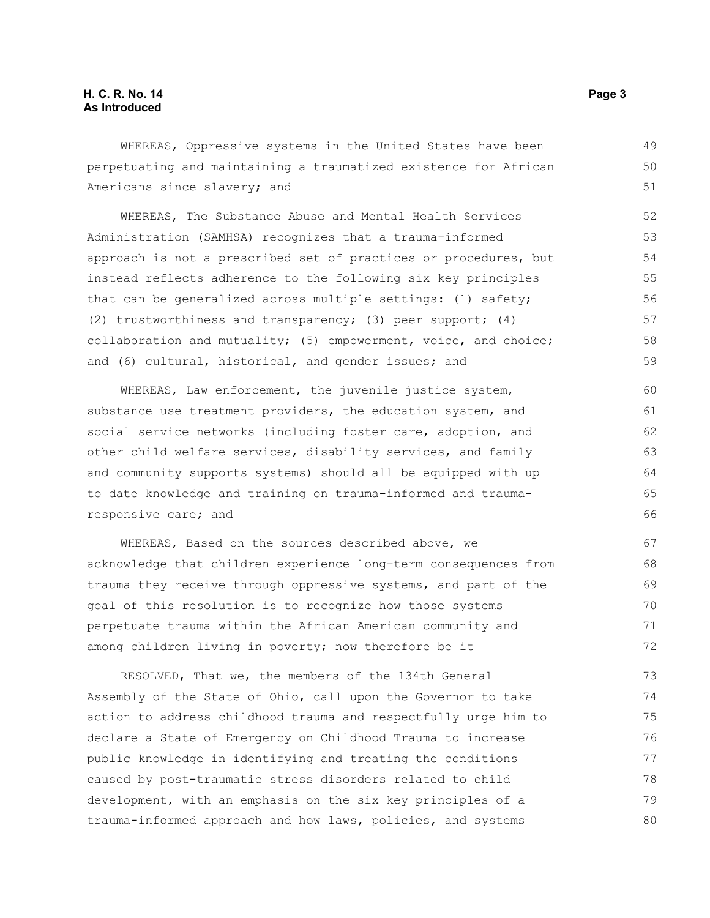#### **H. C. R. No. 14** Page 3 **As Introduced**

WHEREAS, Oppressive systems in the United States have been perpetuating and maintaining a traumatized existence for African Americans since slavery; and

WHEREAS, The Substance Abuse and Mental Health Services Administration (SAMHSA) recognizes that a trauma-informed approach is not a prescribed set of practices or procedures, but instead reflects adherence to the following six key principles that can be generalized across multiple settings: (1) safety; (2) trustworthiness and transparency; (3) peer support; (4) collaboration and mutuality; (5) empowerment, voice, and choice; and (6) cultural, historical, and gender issues; and

WHEREAS, Law enforcement, the juvenile justice system, substance use treatment providers, the education system, and social service networks (including foster care, adoption, and other child welfare services, disability services, and family and community supports systems) should all be equipped with up to date knowledge and training on trauma-informed and traumaresponsive care; and

WHEREAS, Based on the sources described above, we acknowledge that children experience long-term consequences from trauma they receive through oppressive systems, and part of the goal of this resolution is to recognize how those systems perpetuate trauma within the African American community and among children living in poverty; now therefore be it

RESOLVED, That we, the members of the 134th General Assembly of the State of Ohio, call upon the Governor to take action to address childhood trauma and respectfully urge him to declare a State of Emergency on Childhood Trauma to increase public knowledge in identifying and treating the conditions caused by post-traumatic stress disorders related to child development, with an emphasis on the six key principles of a trauma-informed approach and how laws, policies, and systems 73 74 75 76 77 78 79 80

49 50 51